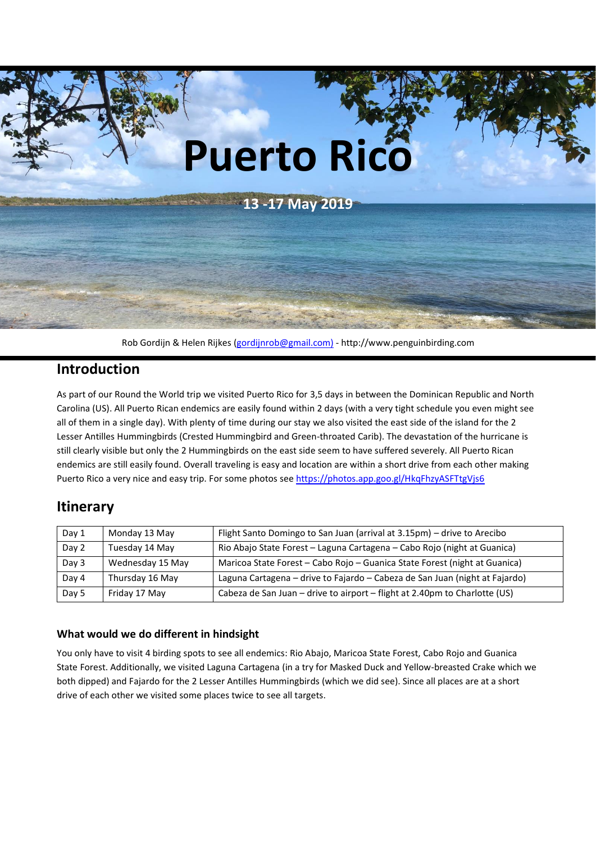

Rob Gordijn & Helen Rijkes [\(gordijnrob@gmail.com\)](mailto:gordijnrob@gmail.com)) - http://www.penguinbirding.com

# **Introduction**

As part of our Round the World trip we visited Puerto Rico for 3,5 days in between the Dominican Republic and North Carolina (US). All Puerto Rican endemics are easily found within 2 days (with a very tight schedule you even might see all of them in a single day). With plenty of time during our stay we also visited the east side of the island for the 2 Lesser Antilles Hummingbirds (Crested Hummingbird and Green-throated Carib). The devastation of the hurricane is still clearly visible but only the 2 Hummingbirds on the east side seem to have suffered severely. All Puerto Rican endemics are still easily found. Overall traveling is easy and location are within a short drive from each other making Puerto Rico a very nice and easy trip. For some photos see <https://photos.app.goo.gl/HkqFhzyASFTtgVjs6>

# **Itinerary**

| Day 1 | Monday 13 May    | Flight Santo Domingo to San Juan (arrival at 3.15pm) – drive to Arecibo     |
|-------|------------------|-----------------------------------------------------------------------------|
| Day 2 | Tuesday 14 May   | Rio Abajo State Forest - Laguna Cartagena - Cabo Rojo (night at Guanica)    |
| Day 3 | Wednesday 15 May | Maricoa State Forest - Cabo Rojo - Guanica State Forest (night at Guanica)  |
| Day 4 | Thursday 16 May  | Laguna Cartagena - drive to Fajardo - Cabeza de San Juan (night at Fajardo) |
| Day 5 | Friday 17 May    | Cabeza de San Juan - drive to airport - flight at 2.40pm to Charlotte (US)  |

#### **What would we do different in hindsight**

You only have to visit 4 birding spots to see all endemics: Rio Abajo, Maricoa State Forest, Cabo Rojo and Guanica State Forest. Additionally, we visited Laguna Cartagena (in a try for Masked Duck and Yellow-breasted Crake which we both dipped) and Fajardo for the 2 Lesser Antilles Hummingbirds (which we did see). Since all places are at a short drive of each other we visited some places twice to see all targets.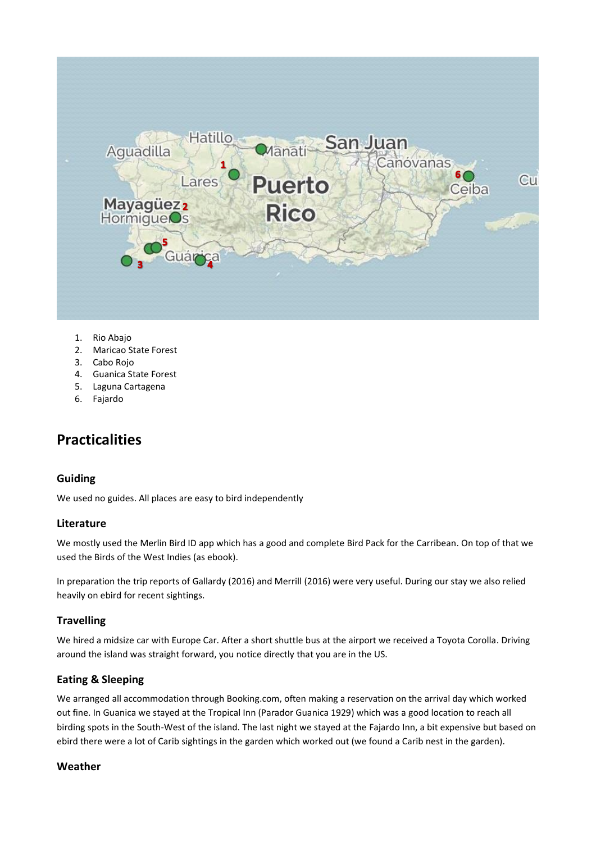

- 1. Rio Abajo
- 2. Maricao State Forest
- 3. Cabo Rojo
- 4. Guanica State Forest
- 5. Laguna Cartagena
- 6. Fajardo

# **Practicalities**

#### **Guiding**

We used no guides. All places are easy to bird independently

#### **Literature**

We mostly used the Merlin Bird ID app which has a good and complete Bird Pack for the Carribean. On top of that we used the Birds of the West Indies (as ebook).

In preparation the trip reports of Gallardy (2016) and Merrill (2016) were very useful. During our stay we also relied heavily on ebird for recent sightings.

# **Travelling**

We hired a midsize car with Europe Car. After a short shuttle bus at the airport we received a Toyota Corolla. Driving around the island was straight forward, you notice directly that you are in the US.

# **Eating & Sleeping**

We arranged all accommodation through Booking.com, often making a reservation on the arrival day which worked out fine. In Guanica we stayed at the Tropical Inn (Parador Guanica 1929) which was a good location to reach all birding spots in the South-West of the island. The last night we stayed at the Fajardo Inn, a bit expensive but based on ebird there were a lot of Carib sightings in the garden which worked out (we found a Carib nest in the garden).

#### **Weather**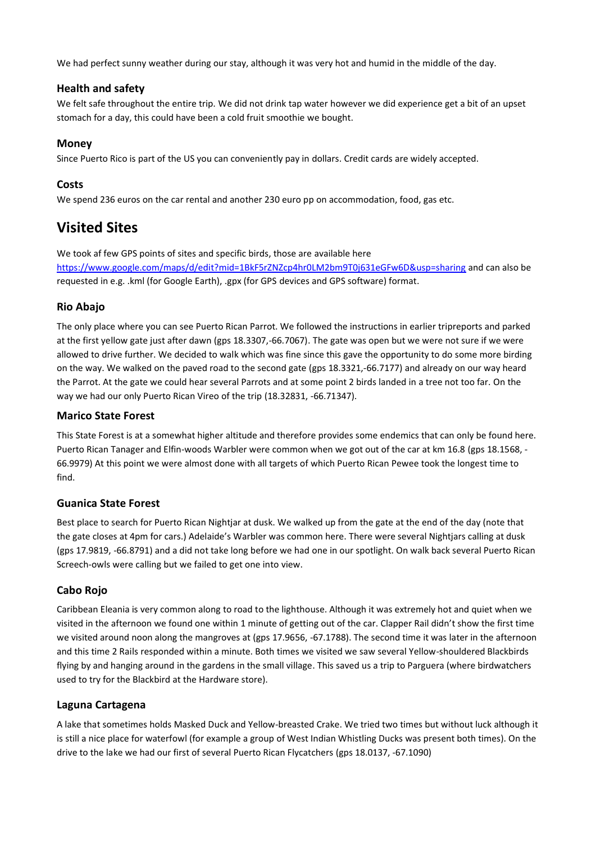We had perfect sunny weather during our stay, although it was very hot and humid in the middle of the day.

#### **Health and safety**

We felt safe throughout the entire trip. We did not drink tap water however we did experience get a bit of an upset stomach for a day, this could have been a cold fruit smoothie we bought.

#### **Money**

Since Puerto Rico is part of the US you can conveniently pay in dollars. Credit cards are widely accepted.

# **Costs**

We spend 236 euros on the car rental and another 230 euro pp on accommodation, food, gas etc.

# **Visited Sites**

We took af few GPS points of sites and specific birds, those are available here

<https://www.google.com/maps/d/edit?mid=1BkF5rZNZcp4hr0LM2bm9T0j631eGFw6D&usp=sharing> and can also be requested in e.g. .kml (for Google Earth), .gpx (for GPS devices and GPS software) format.

# **Rio Abajo**

The only place where you can see Puerto Rican Parrot. We followed the instructions in earlier tripreports and parked at the first yellow gate just after dawn (gps 18.3307,-66.7067). The gate was open but we were not sure if we were allowed to drive further. We decided to walk which was fine since this gave the opportunity to do some more birding on the way. We walked on the paved road to the second gate (gps 18.3321,-66.7177) and already on our way heard the Parrot. At the gate we could hear several Parrots and at some point 2 birds landed in a tree not too far. On the way we had our only Puerto Rican Vireo of the trip (18.32831, -66.71347).

#### **Marico State Forest**

This State Forest is at a somewhat higher altitude and therefore provides some endemics that can only be found here. Puerto Rican Tanager and Elfin-woods Warbler were common when we got out of the car at km 16.8 (gps 18.1568, - 66.9979) At this point we were almost done with all targets of which Puerto Rican Pewee took the longest time to find.

# **Guanica State Forest**

Best place to search for Puerto Rican Nightjar at dusk. We walked up from the gate at the end of the day (note that the gate closes at 4pm for cars.) Adelaide's Warbler was common here. There were several Nightjars calling at dusk (gps 17.9819, -66.8791) and a did not take long before we had one in our spotlight. On walk back several Puerto Rican Screech-owls were calling but we failed to get one into view.

# **Cabo Rojo**

Caribbean Eleania is very common along to road to the lighthouse. Although it was extremely hot and quiet when we visited in the afternoon we found one within 1 minute of getting out of the car. Clapper Rail didn't show the first time we visited around noon along the mangroves at (gps 17.9656, -67.1788). The second time it was later in the afternoon and this time 2 Rails responded within a minute. Both times we visited we saw several Yellow-shouldered Blackbirds flying by and hanging around in the gardens in the small village. This saved us a trip to Parguera (where birdwatchers used to try for the Blackbird at the Hardware store).

# **Laguna Cartagena**

A lake that sometimes holds Masked Duck and Yellow-breasted Crake. We tried two times but without luck although it is still a nice place for waterfowl (for example a group of West Indian Whistling Ducks was present both times). On the drive to the lake we had our first of several Puerto Rican Flycatchers (gps 18.0137, -67.1090)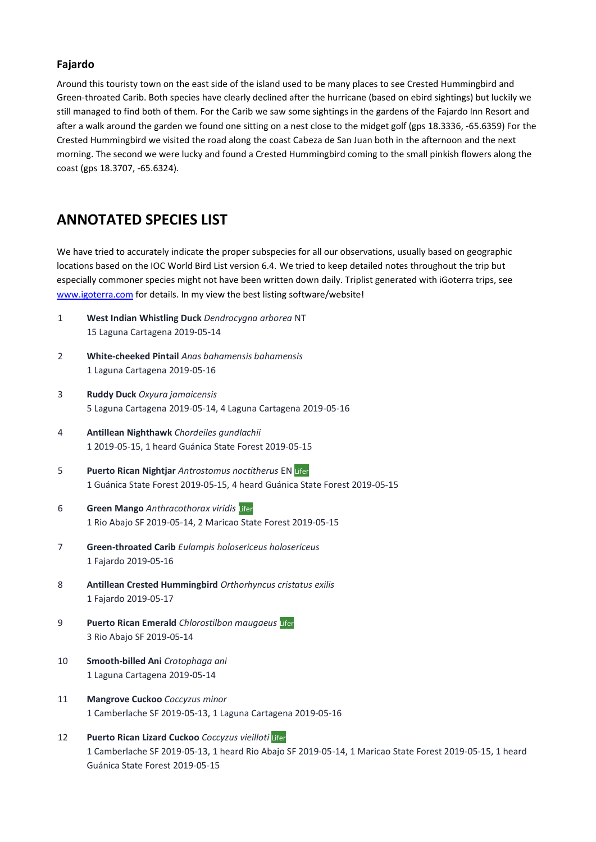#### **Fajardo**

Around this touristy town on the east side of the island used to be many places to see Crested Hummingbird and Green-throated Carib. Both species have clearly declined after the hurricane (based on ebird sightings) but luckily we still managed to find both of them. For the Carib we saw some sightings in the gardens of the Fajardo Inn Resort and after a walk around the garden we found one sitting on a nest close to the midget golf (gps 18.3336, -65.6359) For the Crested Hummingbird we visited the road along the coast Cabeza de San Juan both in the afternoon and the next morning. The second we were lucky and found a Crested Hummingbird coming to the small pinkish flowers along the coast (gps 18.3707, -65.6324).

# **ANNOTATED SPECIES LIST**

We have tried to accurately indicate the proper subspecies for all our observations, usually based on geographic locations based on the IOC World Bird List version 6.4. We tried to keep detailed notes throughout the trip but especially commoner species might not have been written down daily. Triplist generated with iGoterra trips, see [www.igoterra.com](http://www.igoterra.com/) for details. In my view the best listing software/website!

- 1 **West Indian Whistling Duck** *Dendrocygna arborea* NT 15 Laguna Cartagena 2019-05-14
- 2 **White-cheeked Pintail** *Anas bahamensis bahamensis* 1 Laguna Cartagena 2019-05-16
- 3 **Ruddy Duck** *Oxyura jamaicensis* 5 Laguna Cartagena 2019-05-14, 4 Laguna Cartagena 2019-05-16
- 4 **Antillean Nighthawk** *Chordeiles gundlachii* 1 2019-05-15, 1 heard Guánica State Forest 2019-05-15
- 5 **Puerto Rican Nightjar** *Antrostomus noctitherus* EN Lifer 1 Guánica State Forest 2019-05-15, 4 heard Guánica State Forest 2019-05-15
- 6 **Green Mango** *Anthracothorax viridis* Lifer 1 Rio Abajo SF 2019-05-14, 2 Maricao State Forest 2019-05-15
- 7 **Green-throated Carib** *Eulampis holosericeus holosericeus* 1 Fajardo 2019-05-16
- 8 **Antillean Crested Hummingbird** *Orthorhyncus cristatus exilis* 1 Fajardo 2019-05-17
- 9 **Puerto Rican Emerald** *Chlorostilbon maugaeus* Lifer 3 Rio Abajo SF 2019-05-14
- 10 **Smooth-billed Ani** *Crotophaga ani* 1 Laguna Cartagena 2019-05-14
- 11 **Mangrove Cuckoo** *Coccyzus minor* 1 Camberlache SF 2019-05-13, 1 Laguna Cartagena 2019-05-16
- 12 **Puerto Rican Lizard Cuckoo** *Coccyzus vieilloti* Lifer 1 Camberlache SF 2019-05-13, 1 heard Rio Abajo SF 2019-05-14, 1 Maricao State Forest 2019-05-15, 1 heard Guánica State Forest 2019-05-15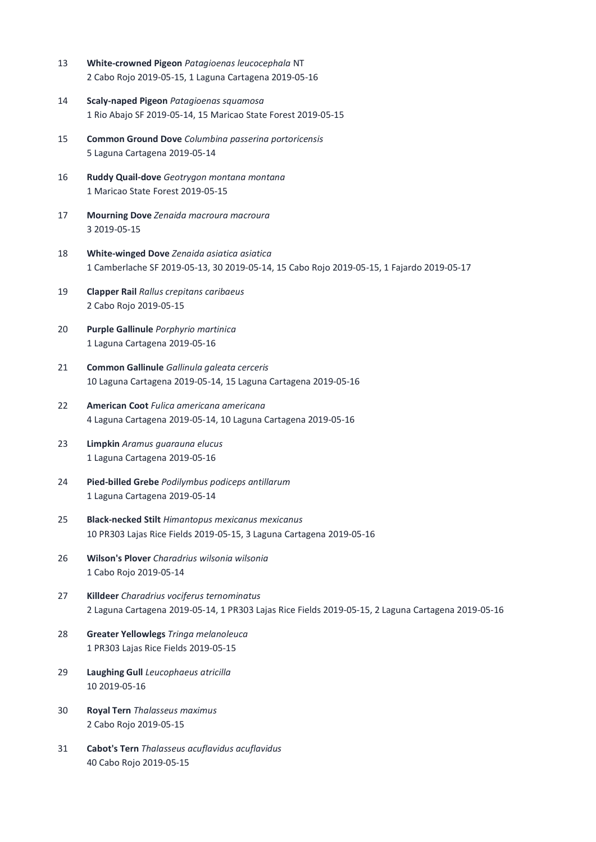- 13 **White-crowned Pigeon** *Patagioenas leucocephala* NT 2 Cabo Rojo 2019-05-15, 1 Laguna Cartagena 2019-05-16
- 14 **Scaly-naped Pigeon** *Patagioenas squamosa* 1 Rio Abajo SF 2019-05-14, 15 Maricao State Forest 2019-05-15
- 15 **Common Ground Dove** *Columbina passerina portoricensis* 5 Laguna Cartagena 2019-05-14
- 16 **Ruddy Quail-dove** *Geotrygon montana montana* 1 Maricao State Forest 2019-05-15
- 17 **Mourning Dove** *Zenaida macroura macroura* 3 2019-05-15
- 18 **White-winged Dove** *Zenaida asiatica asiatica* 1 Camberlache SF 2019-05-13, 30 2019-05-14, 15 Cabo Rojo 2019-05-15, 1 Fajardo 2019-05-17
- 19 **Clapper Rail** *Rallus crepitans caribaeus* 2 Cabo Rojo 2019-05-15
- 20 **Purple Gallinule** *Porphyrio martinica* 1 Laguna Cartagena 2019-05-16
- 21 **Common Gallinule** *Gallinula galeata cerceris* 10 Laguna Cartagena 2019-05-14, 15 Laguna Cartagena 2019-05-16
- 22 **American Coot** *Fulica americana americana* 4 Laguna Cartagena 2019-05-14, 10 Laguna Cartagena 2019-05-16
- 23 **Limpkin** *Aramus guarauna elucus* 1 Laguna Cartagena 2019-05-16
- 24 **Pied-billed Grebe** *Podilymbus podiceps antillarum* 1 Laguna Cartagena 2019-05-14
- 25 **Black-necked Stilt** *Himantopus mexicanus mexicanus* 10 PR303 Lajas Rice Fields 2019-05-15, 3 Laguna Cartagena 2019-05-16
- 26 **Wilson's Plover** *Charadrius wilsonia wilsonia* 1 Cabo Rojo 2019-05-14
- 27 **Killdeer** *Charadrius vociferus ternominatus* 2 Laguna Cartagena 2019-05-14, 1 PR303 Lajas Rice Fields 2019-05-15, 2 Laguna Cartagena 2019-05-16
- 28 **Greater Yellowlegs** *Tringa melanoleuca* 1 PR303 Lajas Rice Fields 2019-05-15
- 29 **Laughing Gull** *Leucophaeus atricilla* 10 2019-05-16
- 30 **Royal Tern** *Thalasseus maximus* 2 Cabo Rojo 2019-05-15
- 31 **Cabot's Tern** *Thalasseus acuflavidus acuflavidus* 40 Cabo Rojo 2019-05-15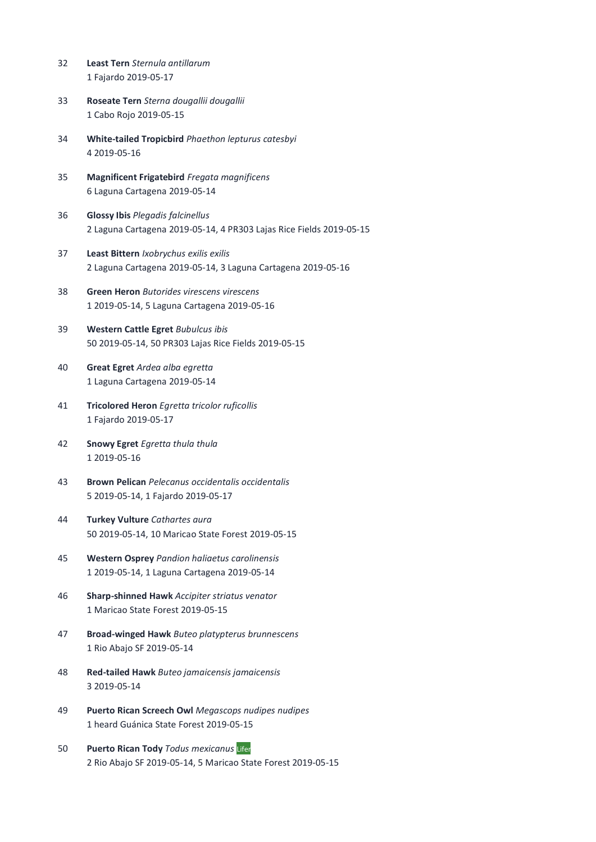- 32 **Least Tern** *Sternula antillarum* 1 Fajardo 2019-05-17
- 33 **Roseate Tern** *Sterna dougallii dougallii* 1 Cabo Rojo 2019-05-15
- 34 **White-tailed Tropicbird** *Phaethon lepturus catesbyi* 4 2019-05-16
- 35 **Magnificent Frigatebird** *Fregata magnificens* 6 Laguna Cartagena 2019-05-14
- 36 **Glossy Ibis** *Plegadis falcinellus* 2 Laguna Cartagena 2019-05-14, 4 PR303 Lajas Rice Fields 2019-05-15
- 37 **Least Bittern** *Ixobrychus exilis exilis* 2 Laguna Cartagena 2019-05-14, 3 Laguna Cartagena 2019-05-16
- 38 **Green Heron** *Butorides virescens virescens* 1 2019-05-14, 5 Laguna Cartagena 2019-05-16
- 39 **Western Cattle Egret** *Bubulcus ibis* 50 2019-05-14, 50 PR303 Lajas Rice Fields 2019-05-15
- 40 **Great Egret** *Ardea alba egretta* 1 Laguna Cartagena 2019-05-14
- 41 **Tricolored Heron** *Egretta tricolor ruficollis* 1 Fajardo 2019-05-17
- 42 **Snowy Egret** *Egretta thula thula* 1 2019-05-16
- 43 **Brown Pelican** *Pelecanus occidentalis occidentalis* 5 2019-05-14, 1 Fajardo 2019-05-17
- 44 **Turkey Vulture** *Cathartes aura* 50 2019-05-14, 10 Maricao State Forest 2019-05-15
- 45 **Western Osprey** *Pandion haliaetus carolinensis* 1 2019-05-14, 1 Laguna Cartagena 2019-05-14
- 46 **Sharp-shinned Hawk** *Accipiter striatus venator* 1 Maricao State Forest 2019-05-15
- 47 **Broad-winged Hawk** *Buteo platypterus brunnescens* 1 Rio Abajo SF 2019-05-14
- 48 **Red-tailed Hawk** *Buteo jamaicensis jamaicensis* 3 2019-05-14
- 49 **Puerto Rican Screech Owl** *Megascops nudipes nudipes* 1 heard Guánica State Forest 2019-05-15
- 50 **Puerto Rican Tody** *Todus mexicanus* Lifer 2 Rio Abajo SF 2019-05-14, 5 Maricao State Forest 2019-05-15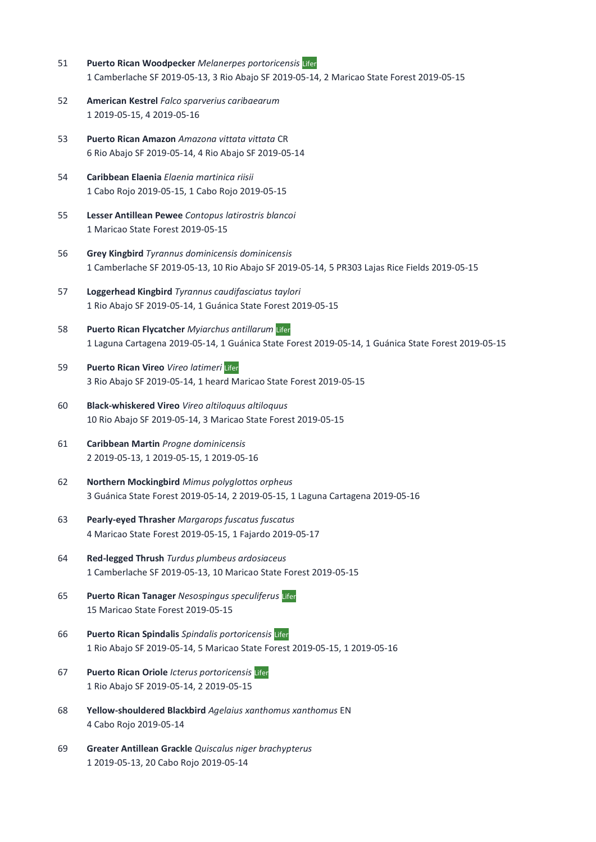- 51 **Puerto Rican Woodpecker** *Melanerpes portoricensis* Lifer 1 Camberlache SF 2019-05-13, 3 Rio Abajo SF 2019-05-14, 2 Maricao State Forest 2019-05-15
- 52 **American Kestrel** *Falco sparverius caribaearum* 1 2019-05-15, 4 2019-05-16
- 53 **Puerto Rican Amazon** *Amazona vittata vittata* CR 6 Rio Abajo SF 2019-05-14, 4 Rio Abajo SF 2019-05-14
- 54 **Caribbean Elaenia** *Elaenia martinica riisii* 1 Cabo Rojo 2019-05-15, 1 Cabo Rojo 2019-05-15
- 55 **Lesser Antillean Pewee** *Contopus latirostris blancoi* 1 Maricao State Forest 2019-05-15
- 56 **Grey Kingbird** *Tyrannus dominicensis dominicensis* 1 Camberlache SF 2019-05-13, 10 Rio Abajo SF 2019-05-14, 5 PR303 Lajas Rice Fields 2019-05-15
- 57 **Loggerhead Kingbird** *Tyrannus caudifasciatus taylori* 1 Rio Abajo SF 2019-05-14, 1 Guánica State Forest 2019-05-15
- 58 **Puerto Rican Flycatcher** *Myiarchus antillarum* Lifer 1 Laguna Cartagena 2019-05-14, 1 Guánica State Forest 2019-05-14, 1 Guánica State Forest 2019-05-15
- 59 **Puerto Rican Vireo** *Vireo latimeri* Lifer 3 Rio Abajo SF 2019-05-14, 1 heard Maricao State Forest 2019-05-15
- 60 **Black-whiskered Vireo** *Vireo altiloquus altiloquus* 10 Rio Abajo SF 2019-05-14, 3 Maricao State Forest 2019-05-15
- 61 **Caribbean Martin** *Progne dominicensis* 2 2019-05-13, 1 2019-05-15, 1 2019-05-16
- 62 **Northern Mockingbird** *Mimus polyglottos orpheus* 3 Guánica State Forest 2019-05-14, 2 2019-05-15, 1 Laguna Cartagena 2019-05-16
- 63 **Pearly-eyed Thrasher** *Margarops fuscatus fuscatus* 4 Maricao State Forest 2019-05-15, 1 Fajardo 2019-05-17
- 64 **Red-legged Thrush** *Turdus plumbeus ardosiaceus* 1 Camberlache SF 2019-05-13, 10 Maricao State Forest 2019-05-15
- 65 **Puerto Rican Tanager** *Nesospingus speculiferus* Lifer 15 Maricao State Forest 2019-05-15
- 66 **Puerto Rican Spindalis** *Spindalis portoricensis* Lifer 1 Rio Abajo SF 2019-05-14, 5 Maricao State Forest 2019-05-15, 1 2019-05-16
- 67 **Puerto Rican Oriole** *Icterus portoricensis* Lifer 1 Rio Abajo SF 2019-05-14, 2 2019-05-15
- 68 **Yellow-shouldered Blackbird** *Agelaius xanthomus xanthomus* EN 4 Cabo Rojo 2019-05-14
- 69 **Greater Antillean Grackle** *Quiscalus niger brachypterus* 1 2019-05-13, 20 Cabo Rojo 2019-05-14